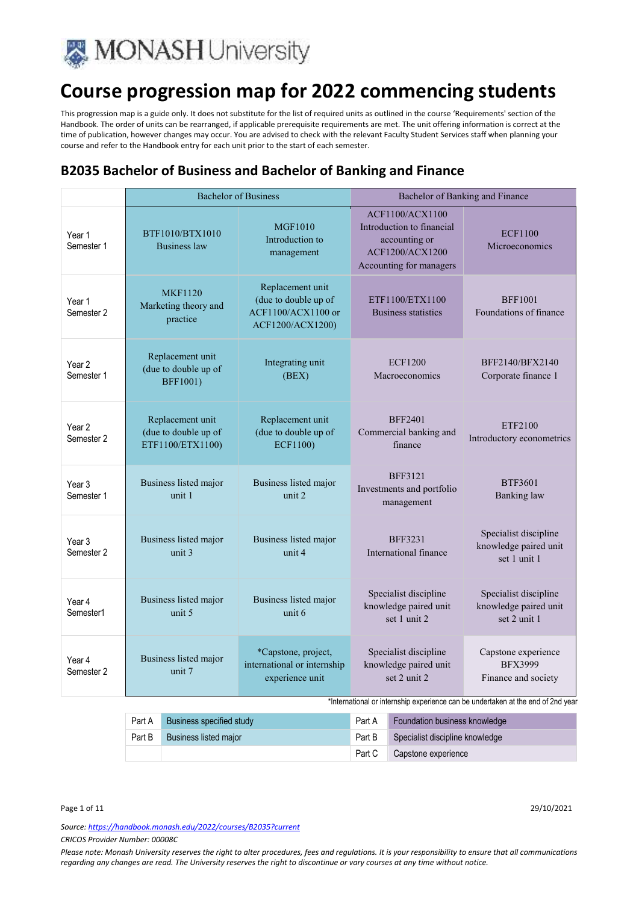

This progression map is a guide only. It does not substitute for the list of required units as outlined in the course 'Requirements' section of the Handbook. The order of units can be rearranged, if applicable prerequisite requirements are met. The unit offering information is correct at the time of publication, however changes may occur. You are advised to check with the relevant Faculty Student Services staff when planning your course and refer to the Handbook entry for each unit prior to the start of each semester.

### **B2035 Bachelor of Business and Bachelor of Banking and Finance**

|                                 |                                                              | <b>Bachelor of Business</b>                                                        |                                                                                                                    | Bachelor of Banking and Finance                                |
|---------------------------------|--------------------------------------------------------------|------------------------------------------------------------------------------------|--------------------------------------------------------------------------------------------------------------------|----------------------------------------------------------------|
| Year 1<br>Semester 1            | BTF1010/BTX1010<br><b>Business law</b>                       | <b>MGF1010</b><br>Introduction to<br>management                                    | <b>ACF1100/ACX1100</b><br>Introduction to financial<br>accounting or<br>ACF1200/ACX1200<br>Accounting for managers | <b>ECF1100</b><br>Microeconomics                               |
| Year 1<br>Semester 2            | <b>MKF1120</b><br>Marketing theory and<br>practice           | Replacement unit<br>(due to double up of<br>ACF1100/ACX1100 or<br>ACF1200/ACX1200) | ETF1100/ETX1100<br>Business statistics                                                                             | <b>BFF1001</b><br>Foundations of finance                       |
| Year 2<br>Semester 1            | Replacement unit<br>(due to double up of<br><b>BFF1001)</b>  | Integrating unit<br>(BEX)                                                          | <b>ECF1200</b><br>Macroeconomics                                                                                   | BFF2140/BFX2140<br>Corporate finance 1                         |
| Year <sub>2</sub><br>Semester 2 | Replacement unit<br>(due to double up of<br>ETF1100/ETX1100) | Replacement unit<br>(due to double up of<br><b>ECF1100)</b>                        | <b>BFF2401</b><br>Commercial banking and<br>finance                                                                | ETF2100<br>Introductory econometrics                           |
| Year <sub>3</sub><br>Semester 1 | Business listed major<br>unit 1                              | Business listed major<br>unit 2                                                    | <b>BFF3121</b><br>Investments and portfolio<br>management                                                          | <b>BTF3601</b><br><b>Banking</b> law                           |
| Year <sub>3</sub><br>Semester 2 | Business listed major<br>unit 3                              | Business listed major<br>unit 4                                                    | <b>BFF3231</b><br>International finance                                                                            | Specialist discipline<br>knowledge paired unit<br>set 1 unit 1 |
| Year 4<br>Semester1             | Business listed major<br>unit 5                              | Business listed major<br>unit 6                                                    | Specialist discipline<br>knowledge paired unit<br>set 1 unit 2                                                     | Specialist discipline<br>knowledge paired unit<br>set 2 unit 1 |
| Year 4<br>Semester 2            | Business listed major<br>unit 7                              | *Capstone, project,<br>international or internship<br>experience unit              | Specialist discipline<br>knowledge paired unit<br>set 2 unit 2                                                     | Capstone experience<br><b>BFX3999</b><br>Finance and society   |

\*International or internship experience can be undertaken at the end of 2nd year

|        | Part A Business specified study |        | Part A Foundation business knowledge   |
|--------|---------------------------------|--------|----------------------------------------|
| Part B | <b>Business listed major</b>    |        | Part B Specialist discipline knowledge |
|        |                                 | Part C | Capstone experience                    |

Page 1 of 11 29/10/2021

*Source: https://handbook.monash.edu/2022/courses/B2035?current CRICOS Provider Number: 00008C*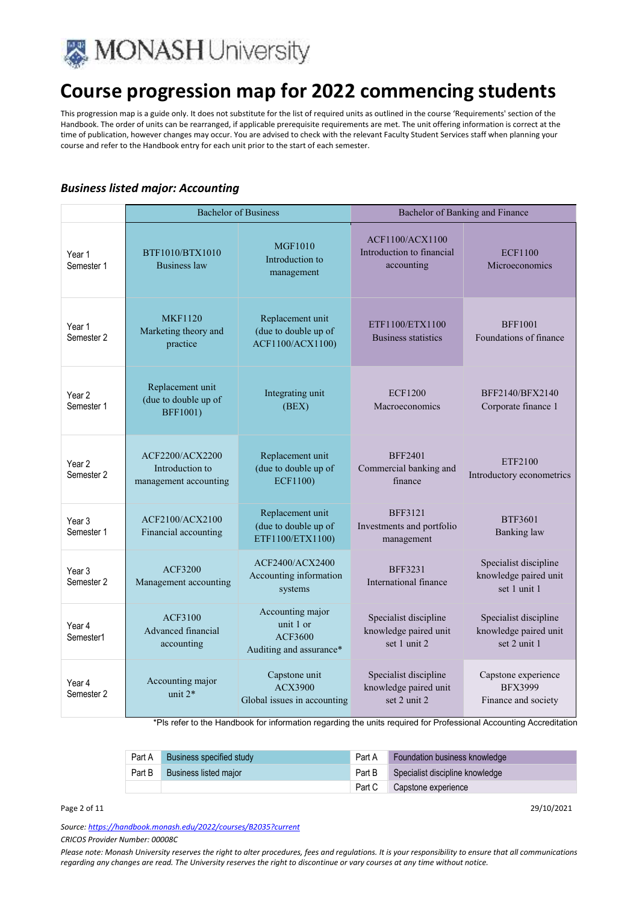

This progression map is a guide only. It does not substitute for the list of required units as outlined in the course 'Requirements' section of the Handbook. The order of units can be rearranged, if applicable prerequisite requirements are met. The unit offering information is correct at the time of publication, however changes may occur. You are advised to check with the relevant Faculty Student Services staff when planning your course and refer to the Handbook entry for each unit prior to the start of each semester.

### *Business listed major: Accounting*

|                                 | <b>Bachelor of Business</b>                                 |                                                                            | Bachelor of Banking and Finance                                |                                                                |
|---------------------------------|-------------------------------------------------------------|----------------------------------------------------------------------------|----------------------------------------------------------------|----------------------------------------------------------------|
| Year 1<br>Semester 1            | BTF1010/BTX1010<br><b>Business law</b>                      | <b>MGF1010</b><br>Introduction to<br>management                            | ACF1100/ACX1100<br>Introduction to financial<br>accounting     | <b>ECF1100</b><br>Microeconomics                               |
| Year 1<br>Semester 2            | <b>MKF1120</b><br>Marketing theory and<br>practice          | Replacement unit<br>(due to double up of<br>ACF1100/ACX1100)               | ETF1100/ETX1100<br><b>Business statistics</b>                  | <b>BFF1001</b><br>Foundations of finance                       |
| Year 2<br>Semester 1            | Replacement unit<br>(due to double up of<br><b>BFF1001)</b> | Integrating unit<br>(BEX)                                                  | <b>ECF1200</b><br>Macroeconomics                               | BFF2140/BFX2140<br>Corporate finance 1                         |
| Year <sub>2</sub><br>Semester 2 | ACF2200/ACX2200<br>Introduction to<br>management accounting | Replacement unit<br>(due to double up of<br><b>ECF1100)</b>                | <b>BFF2401</b><br>Commercial banking and<br>finance            | ETF2100<br>Introductory econometrics                           |
| Year 3<br>Semester 1            | ACF2100/ACX2100<br>Financial accounting                     | Replacement unit<br>(due to double up of<br>ETF1100/ETX1100)               | <b>BFF3121</b><br>Investments and portfolio<br>management      | BTF3601<br><b>Banking</b> law                                  |
| Year <sub>3</sub><br>Semester 2 | <b>ACF3200</b><br>Management accounting                     | ACF2400/ACX2400<br>Accounting information<br>systems                       | <b>BFF3231</b><br>International finance                        | Specialist discipline<br>knowledge paired unit<br>set 1 unit 1 |
| Year 4<br>Semester1             | ACF3100<br>Advanced financial<br>accounting                 | Accounting major<br>unit 1 or<br><b>ACF3600</b><br>Auditing and assurance* | Specialist discipline<br>knowledge paired unit<br>set 1 unit 2 | Specialist discipline<br>knowledge paired unit<br>set 2 unit 1 |
| Year 4<br>Semester 2            | Accounting major<br>unit $2*$                               | Capstone unit<br>ACX3900<br>Global issues in accounting                    | Specialist discipline<br>knowledge paired unit<br>set 2 unit 2 | Capstone experience<br><b>BFX3999</b><br>Finance and society   |

\*Pls refer to the Handbook for information regarding the units required for Professional Accounting Accreditation

| Part A | Business specified study | Part A | <b>Foundation business knowledge</b> |
|--------|--------------------------|--------|--------------------------------------|
| Part B | Business listed major    | Part B | Specialist discipline knowledge      |
|        |                          | Part C | Capstone experience                  |

Page 2 of 11 29/10/2021

*Source: https://handbook.monash.edu/2022/courses/B2035?current*

*CRICOS Provider Number: 00008C*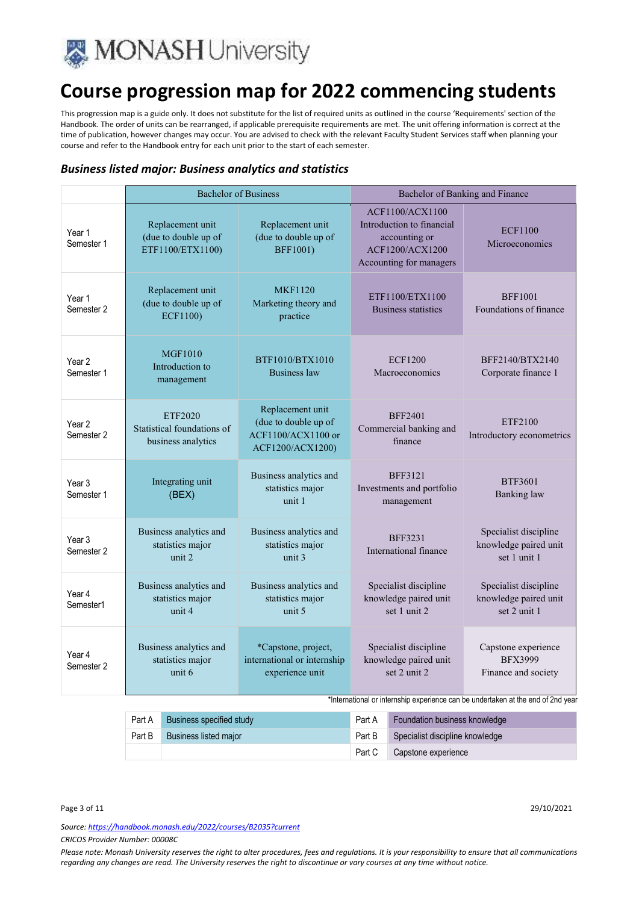

This progression map is a guide only. It does not substitute for the list of required units as outlined in the course 'Requirements' section of the Handbook. The order of units can be rearranged, if applicable prerequisite requirements are met. The unit offering information is correct at the time of publication, however changes may occur. You are advised to check with the relevant Faculty Student Services staff when planning your course and refer to the Handbook entry for each unit prior to the start of each semester.

### *Business listed major: Business analytics and statistics*

|                                 |                                                              | <b>Bachelor of Business</b>                                                        |                                                                                                                    | Bachelor of Banking and Finance                                |
|---------------------------------|--------------------------------------------------------------|------------------------------------------------------------------------------------|--------------------------------------------------------------------------------------------------------------------|----------------------------------------------------------------|
| Year 1<br>Semester 1            | Replacement unit<br>(due to double up of<br>ETF1100/ETX1100) | Replacement unit<br>(due to double up of<br><b>BFF1001)</b>                        | <b>ACF1100/ACX1100</b><br>Introduction to financial<br>accounting or<br>ACF1200/ACX1200<br>Accounting for managers | <b>ECF1100</b><br>Microeconomics                               |
| Year 1<br>Semester 2            | Replacement unit<br>(due to double up of<br><b>ECF1100)</b>  | <b>MKF1120</b><br>Marketing theory and<br>practice                                 | ETF1100/ETX1100<br>Business statistics                                                                             | <b>BFF1001</b><br>Foundations of finance                       |
| Year 2<br>Semester 1            | <b>MGF1010</b><br>Introduction to<br>management              | BTF1010/BTX1010<br><b>Business law</b>                                             | <b>ECF1200</b><br>Macroeconomics                                                                                   | BFF2140/BTX2140<br>Corporate finance 1                         |
| Year 2<br>Semester 2            | ETF2020<br>Statistical foundations of<br>business analytics  | Replacement unit<br>(due to double up of<br>ACF1100/ACX1100 or<br>ACF1200/ACX1200) | <b>BFF2401</b><br>Commercial banking and<br>finance                                                                | ETF2100<br>Introductory econometrics                           |
| Year <sub>3</sub><br>Semester 1 | Integrating unit<br>(BEX)                                    | Business analytics and<br>statistics major<br>unit 1                               | <b>BFF3121</b><br>Investments and portfolio<br>management                                                          | <b>BTF3601</b><br><b>Banking</b> law                           |
| Year 3<br>Semester 2            | Business analytics and<br>statistics major<br>unit 2         | Business analytics and<br>statistics major<br>unit $3$                             | <b>BFF3231</b><br>International finance                                                                            | Specialist discipline<br>knowledge paired unit<br>set 1 unit 1 |
| Year 4<br>Semester1             | Business analytics and<br>statistics major<br>unit 4         | Business analytics and<br>statistics major<br>unit 5                               | Specialist discipline<br>knowledge paired unit<br>set 1 unit 2                                                     | Specialist discipline<br>knowledge paired unit<br>set 2 unit 1 |
| Year 4<br>Semester 2            | Business analytics and<br>statistics major<br>unit 6         | *Capstone, project,<br>international or internship<br>experience unit              | Specialist discipline<br>knowledge paired unit<br>set 2 unit 2                                                     | Capstone experience<br><b>BFX3999</b><br>Finance and society   |

\*International or internship experience can be undertaken at the end of 2nd year

|        | Part A Business specified study |          | Part A Foundation business knowledge   |
|--------|---------------------------------|----------|----------------------------------------|
| Part B | <b>Business listed major</b>    |          | Part B Specialist discipline knowledge |
|        |                                 | Part $C$ | Capstone experience                    |

Page 3 of 11 29/10/2021

*Source: https://handbook.monash.edu/2022/courses/B2035?current CRICOS Provider Number: 00008C*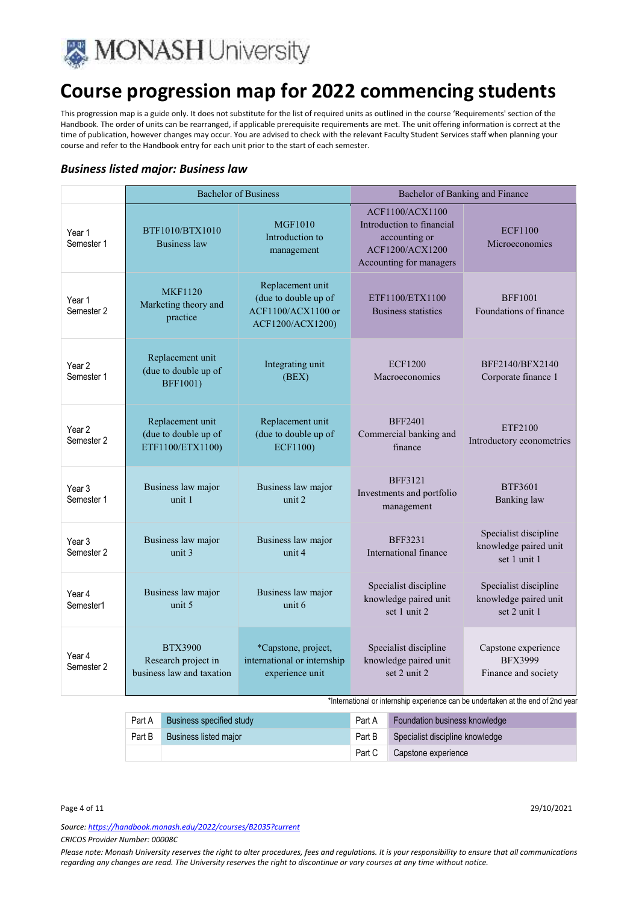

This progression map is a guide only. It does not substitute for the list of required units as outlined in the course 'Requirements' section of the Handbook. The order of units can be rearranged, if applicable prerequisite requirements are met. The unit offering information is correct at the time of publication, however changes may occur. You are advised to check with the relevant Faculty Student Services staff when planning your course and refer to the Handbook entry for each unit prior to the start of each semester.

### *Business listed major: Business law*

|                                 | <b>Bachelor of Business</b>                                        |                                                                                    |                                                                                                             | Bachelor of Banking and Finance                                |  |
|---------------------------------|--------------------------------------------------------------------|------------------------------------------------------------------------------------|-------------------------------------------------------------------------------------------------------------|----------------------------------------------------------------|--|
| Year 1<br>Semester 1            | BTF1010/BTX1010<br>Business law                                    | <b>MGF1010</b><br>Introduction to<br>management                                    | ACF1100/ACX1100<br>Introduction to financial<br>accounting or<br>ACF1200/ACX1200<br>Accounting for managers | <b>ECF1100</b><br>Microeconomics                               |  |
| Year 1<br>Semester 2            | <b>MKF1120</b><br>Marketing theory and<br>practice                 | Replacement unit<br>(due to double up of<br>ACF1100/ACX1100 or<br>ACF1200/ACX1200) | ETF1100/ETX1100<br>Business statistics                                                                      | <b>BFF1001</b><br>Foundations of finance                       |  |
| Year <sub>2</sub><br>Semester 1 | Replacement unit<br>(due to double up of<br><b>BFF1001)</b>        | Integrating unit<br>(BEX)                                                          | <b>ECF1200</b><br>Macroeconomics                                                                            | BFF2140/BFX2140<br>Corporate finance 1                         |  |
| Year <sub>2</sub><br>Semester 2 | Replacement unit<br>(due to double up of<br>ETF1100/ETX1100)       | Replacement unit<br>(due to double up of<br><b>ECF1100)</b>                        | <b>BFF2401</b><br>Commercial banking and<br>finance                                                         | ETF2100<br>Introductory econometrics                           |  |
| Year <sub>3</sub><br>Semester 1 | Business law major<br>unit 1                                       | Business law major<br>unit 2                                                       | <b>BFF3121</b><br>Investments and portfolio<br>management                                                   | <b>BTF3601</b><br><b>Banking</b> law                           |  |
| Year <sub>3</sub><br>Semester 2 | Business law major<br>unit 3                                       | Business law major<br>unit 4                                                       | <b>BFF3231</b><br>International finance                                                                     | Specialist discipline<br>knowledge paired unit<br>set 1 unit 1 |  |
| Year 4<br>Semester1             | Business law major<br>unit 5                                       | Business law major<br>unit 6                                                       | Specialist discipline<br>knowledge paired unit<br>set 1 unit 2                                              | Specialist discipline<br>knowledge paired unit<br>set 2 unit 1 |  |
| Year 4<br>Semester 2            | <b>BTX3900</b><br>Research project in<br>business law and taxation | *Capstone, project,<br>international or internship<br>experience unit              | Specialist discipline<br>knowledge paired unit<br>set 2 unit 2                                              | Capstone experience<br><b>BFX3999</b><br>Finance and society   |  |

\*International or internship experience can be undertaken at the end of 2nd year

| Part A | Business specified study | Part A | <b>Foundation business knowledge</b> |
|--------|--------------------------|--------|--------------------------------------|
| Part B | Business listed major    | Part B | Specialist discipline knowledge      |
|        |                          | Part C | Capstone experience                  |

Page 4 of 11 29/10/2021

*Source: https://handbook.monash.edu/2022/courses/B2035?current CRICOS Provider Number: 00008C*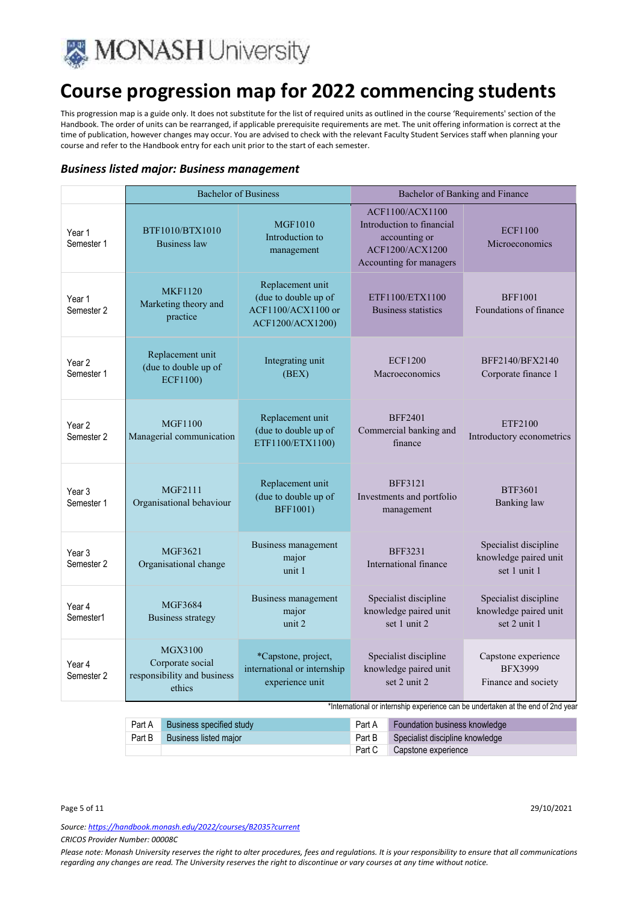

This progression map is a guide only. It does not substitute for the list of required units as outlined in the course 'Requirements' section of the Handbook. The order of units can be rearranged, if applicable prerequisite requirements are met. The unit offering information is correct at the time of publication, however changes may occur. You are advised to check with the relevant Faculty Student Services staff when planning your course and refer to the Handbook entry for each unit prior to the start of each semester.

### *Business listed major: Business management*

|                                 | <b>Bachelor of Business</b>                                          |                                                                                    | Bachelor of Banking and Finance                                                                                    |                                                                                                                                                  |
|---------------------------------|----------------------------------------------------------------------|------------------------------------------------------------------------------------|--------------------------------------------------------------------------------------------------------------------|--------------------------------------------------------------------------------------------------------------------------------------------------|
| Year 1<br>Semester 1            | BTF1010/BTX1010<br><b>Business</b> law                               | <b>MGF1010</b><br>Introduction to<br>management                                    | ACF1100/ACX1100<br>Introduction to financial<br>accounting or<br><b>ACF1200/ACX1200</b><br>Accounting for managers | <b>ECF1100</b><br>Microeconomics                                                                                                                 |
| Year 1<br>Semester 2            | <b>MKF1120</b><br>Marketing theory and<br>practice                   | Replacement unit<br>(due to double up of<br>ACF1100/ACX1100 or<br>ACF1200/ACX1200) | ETF1100/ETX1100<br><b>Business statistics</b>                                                                      | <b>BFF1001</b><br>Foundations of finance                                                                                                         |
| Year <sub>2</sub><br>Semester 1 | Replacement unit<br>(due to double up of<br><b>ECF1100)</b>          | Integrating unit<br>(BEX)                                                          | <b>ECF1200</b><br>Macroeconomics                                                                                   | BFF2140/BFX2140<br>Corporate finance 1                                                                                                           |
| Year 2<br>Semester 2            | <b>MGF1100</b><br>Managerial communication                           | Replacement unit<br>(due to double up of<br>ETF1100/ETX1100)                       | <b>BFF2401</b><br>Commercial banking and<br>finance                                                                | ETF2100<br>Introductory econometrics                                                                                                             |
| Year <sub>3</sub><br>Semester 1 | MGF2111<br>Organisational behaviour                                  | Replacement unit<br>(due to double up of<br><b>BFF1001)</b>                        | <b>BFF3121</b><br>Investments and portfolio<br>management                                                          | <b>BTF3601</b><br><b>Banking</b> law                                                                                                             |
| Year 3<br>Semester 2            | MGF3621<br>Organisational change                                     | Business management<br>major<br>unit 1                                             | <b>BFF3231</b><br>International finance                                                                            | Specialist discipline<br>knowledge paired unit<br>set 1 unit 1                                                                                   |
| Year 4<br>Semester1             | MGF3684<br><b>Business strategy</b>                                  | Business management<br>major<br>unit 2                                             | Specialist discipline<br>knowledge paired unit<br>set 1 unit 2                                                     | Specialist discipline<br>knowledge paired unit<br>set 2 unit 1                                                                                   |
| Year 4<br>Semester 2            | MGX3100<br>Corporate social<br>responsibility and business<br>ethics | *Capstone, project,<br>international or internship<br>experience unit              | Specialist discipline<br>knowledge paired unit<br>set 2 unit 2                                                     | Capstone experience<br><b>BFX3999</b><br>Finance and society<br>*International or internship experience can be undertaken at the end of 2nd year |

| Part A | Business specified study     | Part A | Foundation business knowledge          |
|--------|------------------------------|--------|----------------------------------------|
| Part B | <b>Business listed maior</b> |        | Part B Specialist discipline knowledge |
|        |                              | Part C | Capstone experience                    |

Page 5 of 11 29/10/2021

*Source: https://handbook.monash.edu/2022/courses/B2035?current*

*CRICOS Provider Number: 00008C*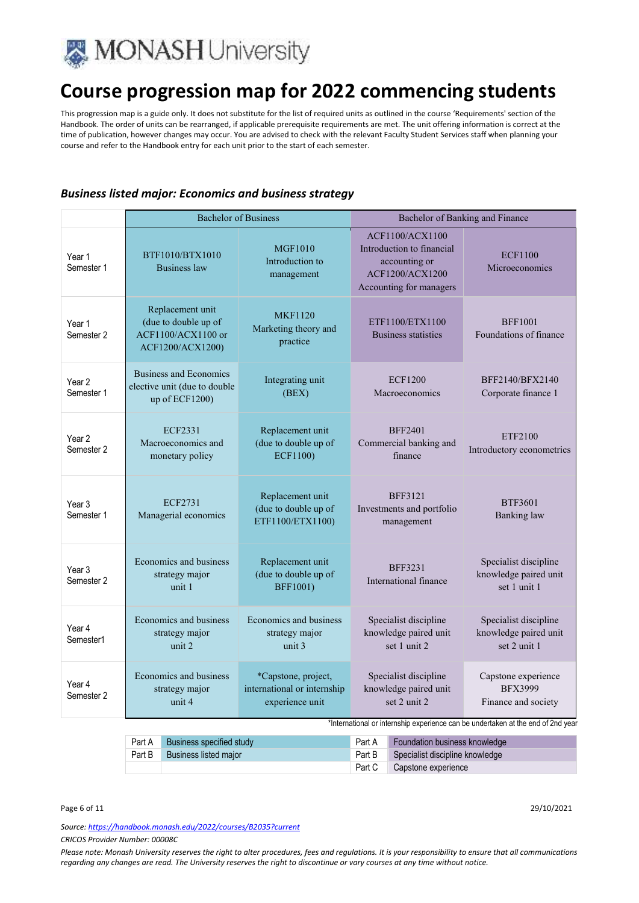

This progression map is a guide only. It does not substitute for the list of required units as outlined in the course 'Requirements' section of the Handbook. The order of units can be rearranged, if applicable prerequisite requirements are met. The unit offering information is correct at the time of publication, however changes may occur. You are advised to check with the relevant Faculty Student Services staff when planning your course and refer to the Handbook entry for each unit prior to the start of each semester.

### *Business listed major: Economics and business strategy*

|                                 | <b>Bachelor of Business</b>                                                        |                                                                       | Bachelor of Banking and Finance                                                                                    |                                                                                                                                                  |
|---------------------------------|------------------------------------------------------------------------------------|-----------------------------------------------------------------------|--------------------------------------------------------------------------------------------------------------------|--------------------------------------------------------------------------------------------------------------------------------------------------|
| Year 1<br>Semester 1            | BTF1010/BTX1010<br><b>Business law</b>                                             | <b>MGF1010</b><br>Introduction to<br>management                       | ACF1100/ACX1100<br>Introduction to financial<br>accounting or<br><b>ACF1200/ACX1200</b><br>Accounting for managers | <b>ECF1100</b><br>Microeconomics                                                                                                                 |
| Year 1<br>Semester 2            | Replacement unit<br>(due to double up of<br>ACF1100/ACX1100 or<br>ACF1200/ACX1200) | <b>MKF1120</b><br>Marketing theory and<br>practice                    | ETF1100/ETX1100<br><b>Business statistics</b>                                                                      | <b>BFF1001</b><br>Foundations of finance                                                                                                         |
| Year <sub>2</sub><br>Semester 1 | <b>Business and Economics</b><br>elective unit (due to double<br>up of ECF1200)    | Integrating unit<br>(BEX)                                             | <b>ECF1200</b><br>Macroeconomics                                                                                   | BFF2140/BFX2140<br>Corporate finance 1                                                                                                           |
| Year <sub>2</sub><br>Semester 2 | <b>ECF2331</b><br>Macroeconomics and<br>monetary policy                            | Replacement unit<br>(due to double up of<br><b>ECF1100)</b>           | <b>BFF2401</b><br>Commercial banking and<br>finance                                                                | ETF2100<br>Introductory econometrics                                                                                                             |
| Year 3<br>Semester 1            | <b>ECF2731</b><br>Managerial economics                                             | Replacement unit<br>(due to double up of<br>ETF1100/ETX1100)          | <b>BFF3121</b><br>Investments and portfolio<br>management                                                          | <b>BTF3601</b><br><b>Banking</b> law                                                                                                             |
| Year 3<br>Semester 2            | Economics and business<br>strategy major<br>unit 1                                 | Replacement unit<br>(due to double up of<br><b>BFF1001)</b>           | <b>BFF3231</b><br>International finance                                                                            | Specialist discipline<br>knowledge paired unit<br>set 1 unit 1                                                                                   |
| Year 4<br>Semester1             | Economics and business<br>strategy major<br>unit 2                                 | Economics and business<br>strategy major<br>unit 3                    | Specialist discipline<br>knowledge paired unit<br>set 1 unit 2                                                     | Specialist discipline<br>knowledge paired unit<br>set 2 unit 1                                                                                   |
| Year 4<br>Semester 2            | Economics and business<br>strategy major<br>unit 4                                 | *Capstone, project,<br>international or internship<br>experience unit | Specialist discipline<br>knowledge paired unit<br>set 2 unit 2                                                     | Capstone experience<br><b>BFX3999</b><br>Finance and society<br>*International or internship experience can be undertaken at the end of 2nd year |

|        | Part A Business specified study | Part A | <b>Foundation business knowledge</b> |
|--------|---------------------------------|--------|--------------------------------------|
| Part B | <b>Business listed major</b>    | Part B | Specialist discipline knowledge      |
|        |                                 | Part C | Capstone experience                  |

#### Page 6 of 11 29/10/2021

*Source: https://handbook.monash.edu/2022/courses/B2035?current*

*CRICOS Provider Number: 00008C*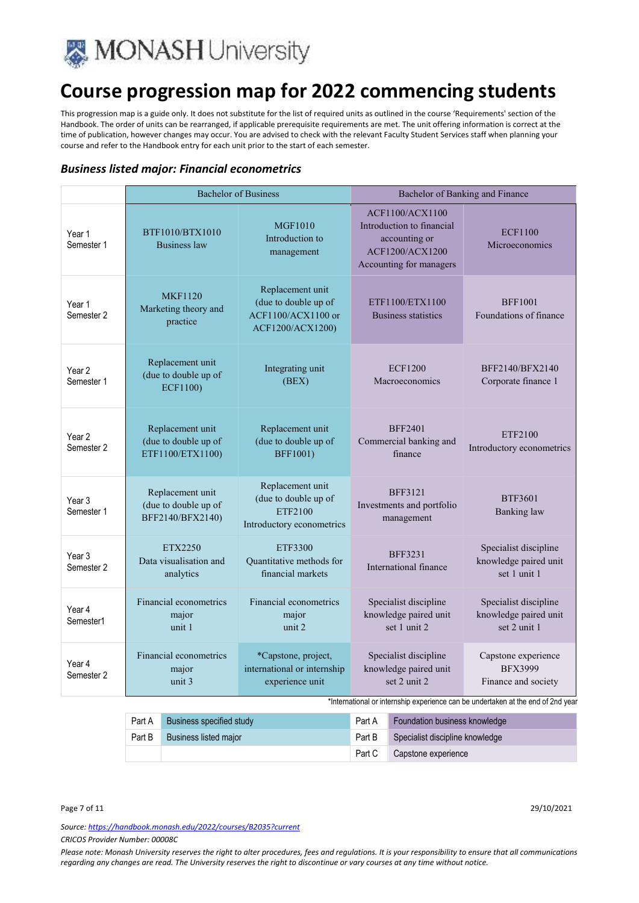

This progression map is a guide only. It does not substitute for the list of required units as outlined in the course 'Requirements' section of the Handbook. The order of units can be rearranged, if applicable prerequisite requirements are met. The unit offering information is correct at the time of publication, however changes may occur. You are advised to check with the relevant Faculty Student Services staff when planning your course and refer to the Handbook entry for each unit prior to the start of each semester.

### *Business listed major: Financial econometrics*

|                                            |                                                              | <b>Bachelor of Business</b>                                                        | Bachelor of Banking and Finance                                                                                    |                                                                |
|--------------------------------------------|--------------------------------------------------------------|------------------------------------------------------------------------------------|--------------------------------------------------------------------------------------------------------------------|----------------------------------------------------------------|
| Year 1<br>Semester 1                       | BTF1010/BTX1010<br><b>Business law</b>                       | <b>MGF1010</b><br>Introduction to<br>management                                    | <b>ACF1100/ACX1100</b><br>Introduction to financial<br>accounting or<br>ACF1200/ACX1200<br>Accounting for managers | <b>ECF1100</b><br><b>Microeconomics</b>                        |
| Year 1<br>Semester 2                       | <b>MKF1120</b><br>Marketing theory and<br>practice           | Replacement unit<br>(due to double up of<br>ACF1100/ACX1100 or<br>ACF1200/ACX1200) | ETF1100/ETX1100<br><b>Business statistics</b>                                                                      | <b>BFF1001</b><br>Foundations of finance                       |
| Year 2<br>Semester 1                       | Replacement unit<br>(due to double up of<br><b>ECF1100)</b>  | Integrating unit<br>(BEX)                                                          | <b>ECF1200</b><br>Macroeconomics                                                                                   | BFF2140/BFX2140<br>Corporate finance 1                         |
| Year <sub>2</sub><br>Semester <sub>2</sub> | Replacement unit<br>(due to double up of<br>ETF1100/ETX1100) | Replacement unit<br>(due to double up of<br><b>BFF1001)</b>                        | <b>BFF2401</b><br>Commercial banking and<br>finance                                                                | ETF2100<br>Introductory econometrics                           |
| Year 3<br>Semester 1                       | Replacement unit<br>(due to double up of<br>BFF2140/BFX2140) | Replacement unit<br>(due to double up of<br>ETF2100<br>Introductory econometrics   | <b>BFF3121</b><br>Investments and portfolio<br>management                                                          | <b>BTF3601</b><br><b>Banking</b> law                           |
| Year <sub>3</sub><br>Semester 2            | ETX2250<br>Data visualisation and<br>analytics               | ETF3300<br>Quantitative methods for<br>financial markets                           | <b>BFF3231</b><br>International finance                                                                            | Specialist discipline<br>knowledge paired unit<br>set 1 unit 1 |
| Year 4<br>Semester1                        | Financial econometrics<br>major<br>unit 1                    | Financial econometrics<br>major<br>unit 2                                          | Specialist discipline<br>knowledge paired unit<br>set 1 unit 2                                                     | Specialist discipline<br>knowledge paired unit<br>set 2 unit 1 |
| Year 4<br>Semester 2                       | Financial econometrics<br>major<br>unit 3                    | *Capstone, project,<br>international or internship<br>experience unit              | Specialist discipline<br>knowledge paired unit<br>set 2 unit 2                                                     | Capstone experience<br><b>BFX3999</b><br>Finance and society   |

\*International or internship experience can be undertaken at the end of 2nd year

| Part A | Business specified study     | Part A | <b>Foundation business knowledge</b> |
|--------|------------------------------|--------|--------------------------------------|
| Part B | <b>Business listed major</b> | Part B | Specialist discipline knowledge      |
|        |                              | Part C | Capstone experience                  |

Page 7 of 11 29/10/2021

*Source: https://handbook.monash.edu/2022/courses/B2035?current CRICOS Provider Number: 00008C*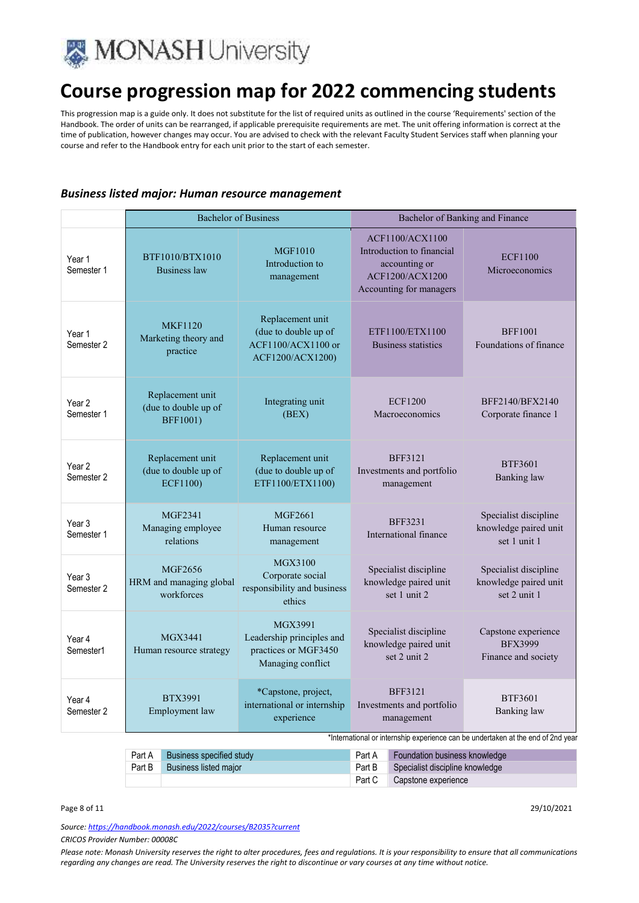

This progression map is a guide only. It does not substitute for the list of required units as outlined in the course 'Requirements' section of the Handbook. The order of units can be rearranged, if applicable prerequisite requirements are met. The unit offering information is correct at the time of publication, however changes may occur. You are advised to check with the relevant Faculty Student Services staff when planning your course and refer to the Handbook entry for each unit prior to the start of each semester.

### *Business listed major: Human resource management*

|                                 |                                                                              | <b>Bachelor of Business</b>                                                        |                  | Bachelor of Banking and Finance                                                                                    |                                                                                  |
|---------------------------------|------------------------------------------------------------------------------|------------------------------------------------------------------------------------|------------------|--------------------------------------------------------------------------------------------------------------------|----------------------------------------------------------------------------------|
| Year 1<br>Semester 1            | BTF1010/BTX1010<br><b>Business law</b>                                       | <b>MGF1010</b><br>Introduction to<br>management                                    |                  | <b>ACF1100/ACX1100</b><br>Introduction to financial<br>accounting or<br>ACF1200/ACX1200<br>Accounting for managers | <b>ECF1100</b><br>Microeconomics                                                 |
| Year 1<br>Semester 2            | <b>MKF1120</b><br>Marketing theory and<br>practice                           | Replacement unit<br>(due to double up of<br>ACF1100/ACX1100 or<br>ACF1200/ACX1200) |                  | ETF1100/ETX1100<br><b>Business statistics</b>                                                                      | <b>BFF1001</b><br>Foundations of finance                                         |
| Year <sub>2</sub><br>Semester 1 | Replacement unit<br>(due to double up of<br><b>BFF1001)</b>                  | Integrating unit<br>(BEX)                                                          |                  | <b>ECF1200</b><br>Macroeconomics                                                                                   | BFF2140/BFX2140<br>Corporate finance 1                                           |
| Year <sub>2</sub><br>Semester 2 | Replacement unit<br>(due to double up of<br>ECF1100)                         | Replacement unit<br>(due to double up of<br>ETF1100/ETX1100)                       |                  | <b>BFF3121</b><br>Investments and portfolio<br>management                                                          | <b>BTF3601</b><br><b>Banking</b> law                                             |
| Year 3<br>Semester 1            | MGF2341<br>Managing employee<br>relations                                    | MGF2661<br>Human resource<br>management                                            |                  | <b>BFF3231</b><br>International finance                                                                            | Specialist discipline<br>knowledge paired unit<br>set 1 unit 1                   |
| Year <sub>3</sub><br>Semester 2 | MGF2656<br>HRM and managing global<br>workforces                             | MGX3100<br>Corporate social<br>responsibility and business<br>ethics               |                  | Specialist discipline<br>knowledge paired unit<br>set 1 unit 2                                                     | Specialist discipline<br>knowledge paired unit<br>set 2 unit 1                   |
| Year 4<br>Semester1             | MGX3441<br>Human resource strategy                                           | MGX3991<br>Leadership principles and<br>practices or MGF3450<br>Managing conflict  |                  | Specialist discipline<br>knowledge paired unit<br>set 2 unit 2                                                     | Capstone experience<br><b>BFX3999</b><br>Finance and society                     |
| Year 4<br>Semester 2            | <b>BTX3991</b><br>Employment law                                             | *Capstone, project,<br>international or internship<br>experience                   |                  | <b>BFF3121</b><br>Investments and portfolio<br>management                                                          | <b>BTF3601</b><br>Banking law                                                    |
|                                 |                                                                              |                                                                                    |                  |                                                                                                                    | *International or internship experience can be undertaken at the end of 2nd year |
|                                 | <b>Business specified study</b><br>Part A<br>Part B<br>Business listed major |                                                                                    | Part A<br>Part B | Foundation business knowledge<br>Specialist discipline knowledge                                                   |                                                                                  |

*Source: https://handbook.monash.edu/2022/courses/B2035?current*

*CRICOS Provider Number: 00008C* 

*Please note: Monash University reserves the right to alter procedures, fees and regulations. It is your responsibility to ensure that all communications regarding any changes are read. The University reserves the right to discontinue or vary courses at any time without notice.*

Part C Capstone experience

Page 8 of 11 29/10/2021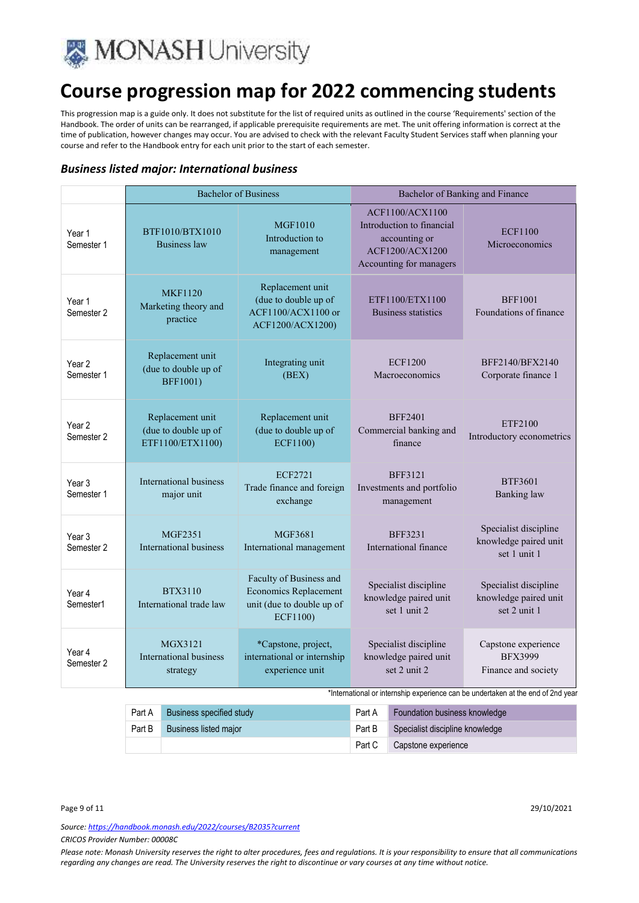

This progression map is a guide only. It does not substitute for the list of required units as outlined in the course 'Requirements' section of the Handbook. The order of units can be rearranged, if applicable prerequisite requirements are met. The unit offering information is correct at the time of publication, however changes may occur. You are advised to check with the relevant Faculty Student Services staff when planning your course and refer to the Handbook entry for each unit prior to the start of each semester.

### *Business listed major: International business*

|                      | <b>Bachelor of Business</b>                                  |                                                                                                  | Bachelor of Banking and Finance                                                                                    |                                                                |
|----------------------|--------------------------------------------------------------|--------------------------------------------------------------------------------------------------|--------------------------------------------------------------------------------------------------------------------|----------------------------------------------------------------|
| Year 1<br>Semester 1 | BTF1010/BTX1010<br>Business law                              | <b>MGF1010</b><br>Introduction to<br>management                                                  | ACF1100/ACX1100<br>Introduction to financial<br>accounting or<br><b>ACF1200/ACX1200</b><br>Accounting for managers | <b>ECF1100</b><br>Microeconomics                               |
| Year 1<br>Semester 2 | <b>MKF1120</b><br>Marketing theory and<br>practice           | Replacement unit<br>(due to double up of<br>ACF1100/ACX1100 or<br>ACF1200/ACX1200)               | ETF1100/ETX1100<br><b>Business statistics</b>                                                                      | <b>BFF1001</b><br>Foundations of finance                       |
| Year 2<br>Semester 1 | Replacement unit<br>(due to double up of<br><b>BFF1001)</b>  | Integrating unit<br>(BEX)                                                                        | <b>ECF1200</b><br>Macroeconomics                                                                                   | BFF2140/BFX2140<br>Corporate finance 1                         |
| Year 2<br>Semester 2 | Replacement unit<br>(due to double up of<br>ETF1100/ETX1100) | Replacement unit<br>(due to double up of<br><b>ECF1100)</b>                                      | <b>BFF2401</b><br>Commercial banking and<br>finance                                                                | ETF2100<br>Introductory econometrics                           |
| Year 3<br>Semester 1 | <b>International business</b><br>major unit                  | <b>ECF2721</b><br>Trade finance and foreign<br>exchange                                          | <b>BFF3121</b><br>Investments and portfolio<br>management                                                          | <b>BTF3601</b><br><b>Banking</b> law                           |
| Year 3<br>Semester 2 | MGF2351<br><b>International business</b>                     | MGF3681<br>International management                                                              | <b>BFF3231</b><br>International finance                                                                            | Specialist discipline<br>knowledge paired unit<br>set 1 unit 1 |
| Year 4<br>Semester1  | <b>BTX3110</b><br>International trade law                    | Faculty of Business and<br><b>Economics Replacement</b><br>unit (due to double up of<br>ECF1100) | Specialist discipline<br>knowledge paired unit<br>set 1 unit 2                                                     | Specialist discipline<br>knowledge paired unit<br>set 2 unit 1 |
| Year 4<br>Semester 2 | MGX3121<br><b>International business</b><br>strategy         | *Capstone, project,<br>international or internship<br>experience unit                            | Specialist discipline<br>knowledge paired unit<br>set 2 unit 2                                                     | Capstone experience<br><b>BFX3999</b><br>Finance and society   |

\*International or internship experience can be undertaken at the end of 2nd year

| Part A | Business specified study     | Part A | <b>Foundation business knowledge</b> |
|--------|------------------------------|--------|--------------------------------------|
| Part B | <b>Business listed major</b> | Part B | Specialist discipline knowledge      |
|        |                              | Part C | Capstone experience                  |

Page 9 of 11 29/10/2021

*Source: https://handbook.monash.edu/2022/courses/B2035?current*

*CRICOS Provider Number: 00008C*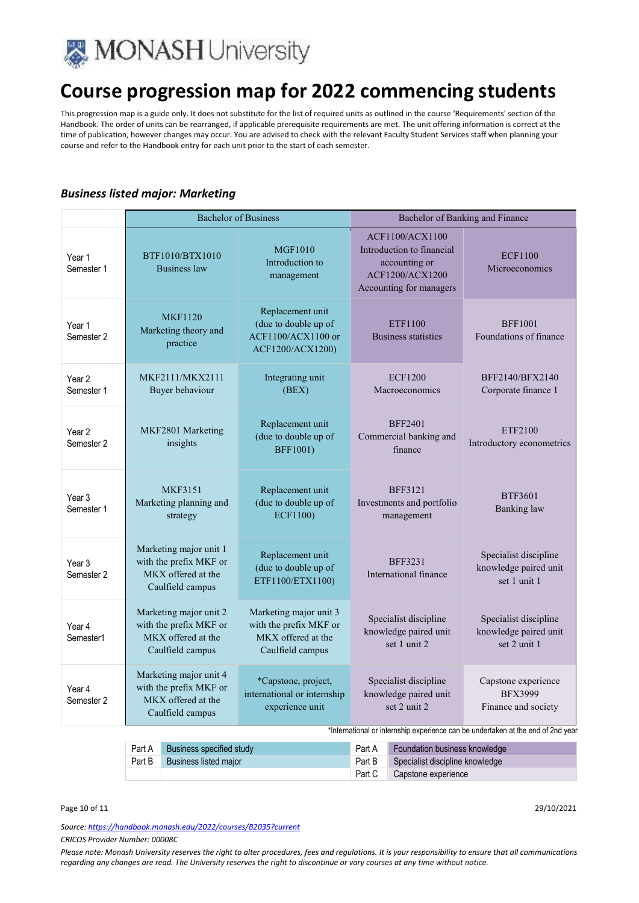

This progression map is a guide only. It does not substitute for the list of required units as outlined in the course 'Requirements' section of the Handbook. The order of units can be rearranged, if applicable prerequisite requirements are met. The unit offering information is correct at the time of publication, however changes may occur. You are advised to check with the relevant Faculty Student Services staff when planning your course and refer to the Handbook entry for each unit prior to the start of each semester.

### *Business listed major: Marketing*

|                                 |                                                                                            | <b>Bachelor of Business</b>                                                                | Bachelor of Banking and Finance                                                                                                                    |                                                                |
|---------------------------------|--------------------------------------------------------------------------------------------|--------------------------------------------------------------------------------------------|----------------------------------------------------------------------------------------------------------------------------------------------------|----------------------------------------------------------------|
| Year 1<br>Semester 1            | BTF1010/BTX1010<br><b>Business</b> law                                                     | <b>MGF1010</b><br>Introduction to<br>management                                            | <b>ACF1100/ACX1100</b><br>Introduction to financial<br>accounting or<br><b>ACF1200/ACX1200</b><br>Accounting for managers                          | <b>ECF1100</b><br>Microeconomics                               |
| Year 1<br>Semester 2            | <b>MKF1120</b><br>Marketing theory and<br>practice                                         | Replacement unit<br>(due to double up of<br>$ACF1100/ACX1100$ or<br>ACF1200/ACX1200)       | ETF1100<br><b>Business statistics</b>                                                                                                              | <b>BFF1001</b><br>Foundations of finance                       |
| Year <sub>2</sub><br>Semester 1 | MKF2111/MKX2111<br>Buyer behaviour                                                         | Integrating unit<br>(BEX)                                                                  | <b>ECF1200</b><br>Macroeconomics                                                                                                                   | BFF2140/BFX2140<br>Corporate finance 1                         |
| Year 2<br>Semester 2            | MKF2801 Marketing<br>insights                                                              | Replacement unit<br>(due to double up of<br><b>BFF1001)</b>                                | <b>BFF2401</b><br>Commercial banking and<br>finance                                                                                                | ETF2100<br>Introductory econometrics                           |
| Year 3<br>Semester 1            | <b>MKF3151</b><br>Marketing planning and<br>strategy                                       | Replacement unit<br>(due to double up of<br>ECF1100)                                       | <b>BFF3121</b><br>Investments and portfolio<br>management                                                                                          | <b>BTF3601</b><br><b>Banking</b> law                           |
| Year <sub>3</sub><br>Semester 2 | Marketing major unit 1<br>with the prefix MKF or<br>MKX offered at the<br>Caulfield campus | Replacement unit<br>(due to double up of<br>ETF1100/ETX1100)                               | <b>BFF3231</b><br>International finance                                                                                                            | Specialist discipline<br>knowledge paired unit<br>set 1 unit 1 |
| Year 4<br>Semester1             | Marketing major unit 2<br>with the prefix MKF or<br>MKX offered at the<br>Caulfield campus | Marketing major unit 3<br>with the prefix MKF or<br>MKX offered at the<br>Caulfield campus | Specialist discipline<br>knowledge paired unit<br>set 1 unit 2.                                                                                    | Specialist discipline<br>knowledge paired unit<br>set 2 unit 1 |
| Year 4<br>Semester 2            | Marketing major unit 4<br>with the prefix MKF or<br>MKX offered at the<br>Caulfield campus | *Capstone, project,<br>international or internship<br>experience unit                      | Specialist discipline<br>knowledge paired unit<br>set 2 unit 2<br>*International or internship experience can be undertaken at the end of 2nd year | Capstone experience<br><b>BFX3999</b><br>Finance and society   |

|        | Part A Business specified study |        | Part A Foundation business knowledge   |
|--------|---------------------------------|--------|----------------------------------------|
| Part B | Business listed major           |        | Part B Specialist discipline knowledge |
|        |                                 | Part C | Capstone experience                    |

Page 10 of 11 29/10/2021

*Source: https://handbook.monash.edu/2022/courses/B2035?current*

*CRICOS Provider Number: 00008C*